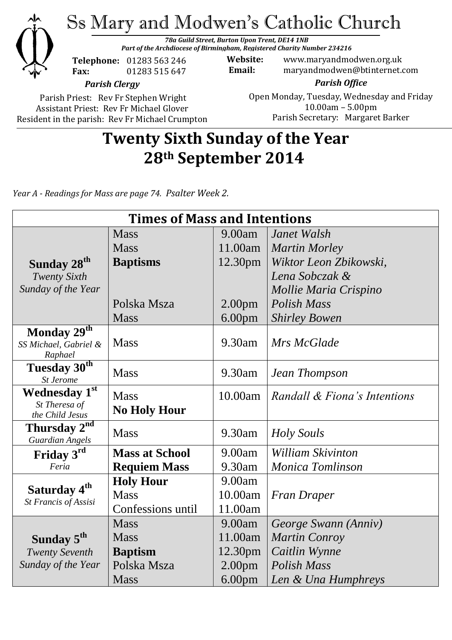

Parish Priest: Rev Fr Stephen Wright Assistant Priest: Rev Fr Michael Glover Resident in the parish: Rev Fr Michael Crumpton

#### Open Monday, Tuesday, Wednesday and Friday 10.00am – 5.00pm Parish Secretary:Margaret Barker

# **Twenty Sixth Sunday of the Year 28th September 2014**

*Year A - Readings for Mass are page 74. Psalter Week 2.*

| <b>Times of Mass and Intentions</b>                |                       |                    |                              |
|----------------------------------------------------|-----------------------|--------------------|------------------------------|
|                                                    | <b>Mass</b>           | 9.00am             | Janet Walsh                  |
|                                                    | <b>Mass</b>           | 11.00am            | <b>Martin Morley</b>         |
| Sunday 28 <sup>th</sup>                            | <b>Baptisms</b>       | 12.30pm            | Wiktor Leon Zbikowski,       |
| <b>Twenty Sixth</b>                                |                       |                    | Lena Sobczak &               |
| Sunday of the Year                                 |                       |                    | Mollie Maria Crispino        |
|                                                    | Polska Msza           | 2.00 <sub>pm</sub> | Polish Mass                  |
|                                                    | <b>Mass</b>           | 6.00 <sub>pm</sub> | <b>Shirley Bowen</b>         |
| Monday $29^{th}$                                   |                       |                    |                              |
| SS Michael, Gabriel &<br>Raphael                   | <b>Mass</b>           | 9.30am             | Mrs McGlade                  |
| Tuesday 30 <sup>th</sup><br><b>St Jerome</b>       | <b>Mass</b>           | 9.30am             | Jean Thompson                |
| Wednesday 1st                                      | <b>Mass</b>           | 10.00am            | Randall & Fiona's Intentions |
| St Theresa of                                      | <b>No Holy Hour</b>   |                    |                              |
| the Child Jesus                                    |                       |                    |                              |
| Thursday 2 <sup>nd</sup><br><b>Guardian Angels</b> | <b>Mass</b>           | 9.30am             | Holy Souls                   |
| Friday 3rd                                         | <b>Mass at School</b> | 9.00am             | <b>William Skivinton</b>     |
| Feria                                              | <b>Requiem Mass</b>   | 9.30am             | Monica Tomlinson             |
| Saturday 4 <sup>th</sup><br>St Francis of Assisi   | <b>Holy Hour</b>      | 9.00am             |                              |
|                                                    | <b>Mass</b>           | 10.00am            | <b>Fran Draper</b>           |
|                                                    | Confessions until     | 11.00am            |                              |
|                                                    | <b>Mass</b>           | 9.00am             | George Swann (Anniv)         |
| Sunday 5 <sup>th</sup>                             | <b>Mass</b>           | 11.00am            | <b>Martin Conroy</b>         |
| <b>Twenty Seventh</b>                              | <b>Baptism</b>        | 12.30pm            | Caitlin Wynne                |
| Sunday of the Year                                 | Polska Msza           | 2.00 <sub>pm</sub> | <b>Polish Mass</b>           |
|                                                    | <b>Mass</b>           | 6.00 <sub>pm</sub> | Len & Una Humphreys          |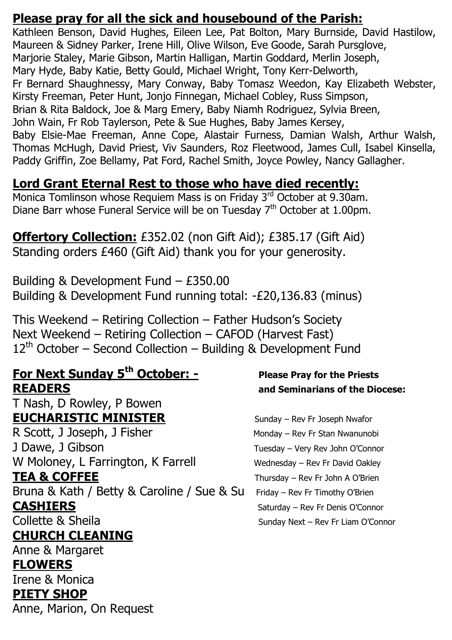#### **Please pray for all the sick and housebound of the Parish:**

Kathleen Benson, David Hughes, Eileen Lee, Pat Bolton, Mary Burnside, David Hastilow, Maureen & Sidney Parker, Irene Hill, Olive Wilson, Eve Goode, Sarah Pursglove, Marjorie Staley, Marie Gibson, Martin Halligan, Martin Goddard, Merlin Joseph, Mary Hyde, Baby Katie, Betty Gould, Michael Wright, Tony Kerr-Delworth, Fr Bernard Shaughnessy, Mary Conway, Baby Tomasz Weedon, Kay Elizabeth Webster, Kirsty Freeman, Peter Hunt, Jonjo Finnegan, Michael Cobley, Russ Simpson, Brian & Rita Baldock, Joe & Marg Emery, Baby Niamh Rodriguez, Sylvia Breen, John Wain, Fr Rob Taylerson, Pete & Sue Hughes, Baby James Kersey, Baby Elsie-Mae Freeman, Anne Cope, Alastair Furness, Damian Walsh, Arthur Walsh, Thomas McHugh, David Priest, Viv Saunders, Roz Fleetwood, James Cull, Isabel Kinsella, Paddy Griffin, Zoe Bellamy, Pat Ford, Rachel Smith, Joyce Powley, Nancy Gallagher.

## **Lord Grant Eternal Rest to those who have died recently:**

Monica Tomlinson whose Requiem Mass is on Friday 3rd October at 9.30am. Diane Barr whose Funeral Service will be on Tuesday 7<sup>th</sup> October at 1.00pm.

#### **Offertory Collection:** £352.02 (non Gift Aid); £385.17 (Gift Aid) Standing orders £460 (Gift Aid) thank you for your generosity.

Building & Development Fund – £350.00 Building & Development Fund running total: -£20,136.83 (minus)

This Weekend – Retiring Collection – Father Hudson's Society Next Weekend – Retiring Collection – CAFOD (Harvest Fast)  $12<sup>th</sup>$  October – Second Collection – Building & Development Fund

#### **For Next Sunday 5th October: - Please Pray for the Priests READERS and Seminarians of the Diocese:**

T Nash, D Rowley, P Bowen **EUCHARISTIC MINISTER** Sunday – Rev Fr Joseph Nwafor R Scott, J Joseph, J Fisher Monday – Rev Fr Stan Nwanunobi J Dawe, J Gibson Tuesday – Very Rev John O'Connor W Moloney, L Farrington, K Farrell Wednesday – Rev Fr David Oakley **TEA & COFFEE** Thursday – Rev Fr John A O'Brien Bruna & Kath / Betty & Caroline / Sue & Su Friday - Rev Fr Timothy O'Brien **CASHIERS** Saturday – Rev Fr Denis O'Connor Collette & Sheila Sunday Next – Rev Fr Liam O'Connor

#### **CHURCH CLEANING**

Anne & Margaret **FLOWERS**  Irene & Monica **PIETY SHOP** Anne, Marion, On Request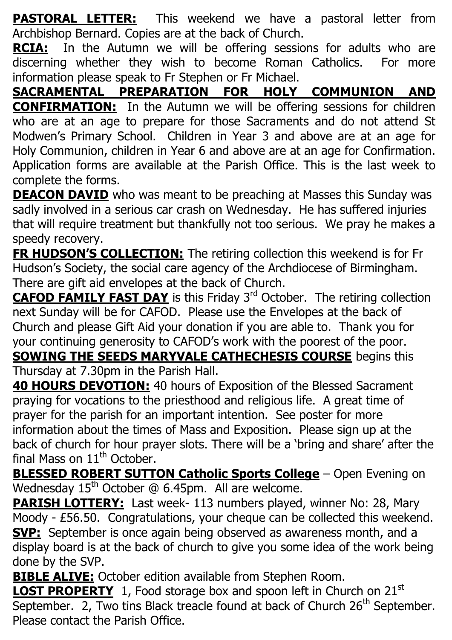**PASTORAL LETTER:** This weekend we have a pastoral letter from Archbishop Bernard. Copies are at the back of Church.

**RCIA:** In the Autumn we will be offering sessions for adults who are discerning whether they wish to become Roman Catholics. For more information please speak to Fr Stephen or Fr Michael.

**SACRAMENTAL PREPARATION FOR HOLY COMMUNION AND CONFIRMATION:** In the Autumn we will be offering sessions for children who are at an age to prepare for those Sacraments and do not attend St Modwen's Primary School. Children in Year 3 and above are at an age for Holy Communion, children in Year 6 and above are at an age for Confirmation. Application forms are available at the Parish Office. This is the last week to complete the forms.

**DEACON DAVID** who was meant to be preaching at Masses this Sunday was sadly involved in a serious car crash on Wednesday. He has suffered injuries that will require treatment but thankfully not too serious. We pray he makes a speedy recovery.

**FR HUDSON'S COLLECTION:** The retiring collection this weekend is for Fr Hudson's Society, the social care agency of the Archdiocese of Birmingham. There are gift aid envelopes at the back of Church.

**CAFOD FAMILY FAST DAY** is this Friday 3<sup>rd</sup> October. The retiring collection next Sunday will be for CAFOD. Please use the Envelopes at the back of Church and please Gift Aid your donation if you are able to. Thank you for your continuing generosity to CAFOD's work with the poorest of the poor.

**SOWING THE SEEDS MARYVALE CATHECHESIS COURSE** begins this Thursday at 7.30pm in the Parish Hall.

**40 HOURS DEVOTION:** 40 hours of Exposition of the Blessed Sacrament praying for vocations to the priesthood and religious life. A great time of prayer for the parish for an important intention. See poster for more information about the times of Mass and Exposition. Please sign up at the back of church for hour prayer slots. There will be a 'bring and share' after the final Mass on  $11<sup>th</sup>$  October.

**BLESSED ROBERT SUTTON Catholic Sports College** – Open Evening on Wednesday  $15<sup>th</sup>$  October  $@$  6.45pm. All are welcome.

**PARISH LOTTERY:** Last week- 113 numbers played, winner No: 28, Mary Moody - £56.50. Congratulations, your cheque can be collected this weekend. **SVP:** September is once again being observed as awareness month, and a display board is at the back of church to give you some idea of the work being done by the SVP.

**BIBLE ALIVE:** October edition available from Stephen Room.

**LOST PROPERTY** 1, Food storage box and spoon left in Church on 21<sup>st</sup> September. 2, Two tins Black treacle found at back of Church  $26<sup>th</sup>$  September. Please contact the Parish Office.